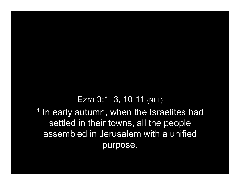## Ezra 3:1–3, 10-11 (NLT)

<sup>1</sup> In early autumn, when the Israelites had settled in their towns, all the people assembled in Jerusalem with a unified purpose.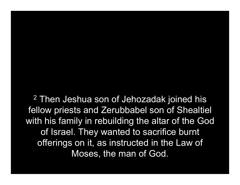<sup>2</sup> Then Jeshua son of Jehozadak joined his fellow priests and Zerubbabel son of Shealtiel with his family in rebuilding the altar of the God of Israel. They wanted to sacrifice burnt offerings on it, as instructed in the Law of Moses, the man of God.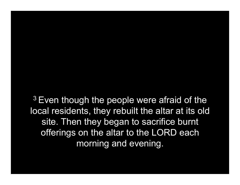$3$  Even though the people were afraid of the local residents, they rebuilt the altar at its old site. Then they began to sacrifice burnt offerings on the altar to the LORD each morning and evening.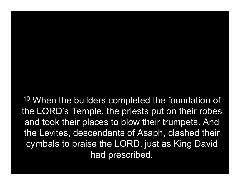<sup>10</sup> When the builders completed the foundation of the LORD's Temple, the priests put on their robes and took their places to blow their trumpets. And the Levites, descendants of Asaph, clashed their cymbals to praise the LORD, just as King David had prescribed.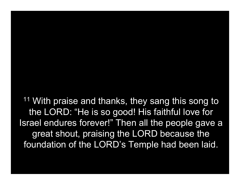<sup>11</sup> With praise and thanks, they sang this song to the LORD: "He is so good! His faithful love for Israel endures forever!" Then all the people gave a great shout, praising the LORD because the foundation of the LORD's Temple had been laid.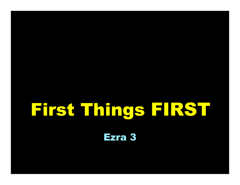## First Things FIRST

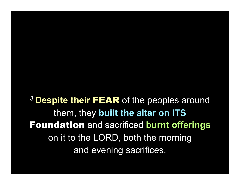<sup>3</sup> Despite their FEAR of the peoples around them, they built the altar on ITS Foundation and sacrificed burnt offerings on it to the LORD, both the morning and evening sacrifices.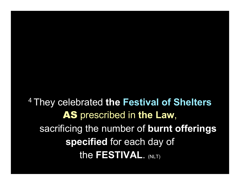<sup>4</sup> They celebrated the Festival of Shelters AS prescribed in the Law, sacrificing the number of burnt offerings specified for each day of the FESTIVAL. (NLT)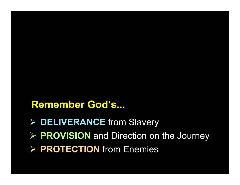## Remember God's...

- ▶ DELIVERANCE from Slavery
- $\triangleright$  PROVISION and Direction on the Journey
- $\triangleright$  PROTECTION from Enemies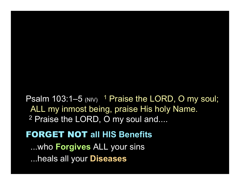Psalm 103:1–5 (NIV)  $1$  Praise the LORD, O my soul; ALL my inmost being, praise His holy Name. <sup>2</sup> Praise the LORD, O my soul and....

FORGET NOT all HIS Benefits ...who **Forgives** ALL your sins ...heals all your Diseases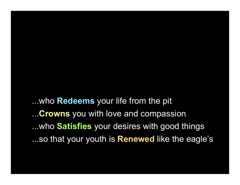...who Redeems your life from the pit ...Crowns you with love and compassion ...who Satisfies your desires with good things ...so that your youth is **Renewed** like the eagle's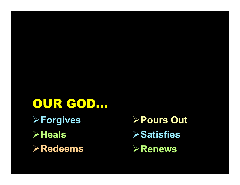OUR GOD... **≻Forgives >Heals** Redeems

Pours Out  $\triangleright$  Satisfies **≻Renews**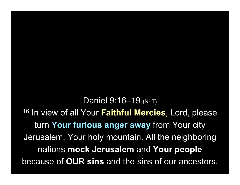Daniel 9:16–19 (NLT) <sup>16</sup> In view of all Your Faithful Mercies, Lord, please turn Your furious anger away from Your city Jerusalem, Your holy mountain. All the neighboring nations mock Jerusalem and Your people because of OUR sins and the sins of our ancestors.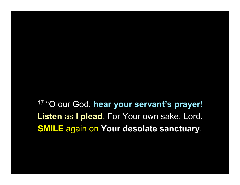<sup>17</sup> "O our God, hear your servant's prayer! Listen as I plead. For Your own sake, Lord, SMILE again on Your desolate sanctuary.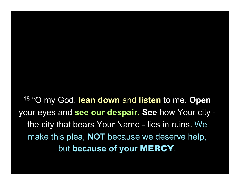<sup>18</sup> "O my God, lean down and listen to me. Open your eyes and see our despair. See how Your city the city that bears Your Name - lies in ruins. We make this plea, **NOT** because we deserve help, but because of your MERCY.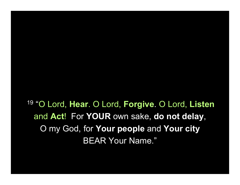<sup>19</sup> "O Lord, Hear. O Lord, Forgive. O Lord, Listen and Act! For YOUR own sake, do not delay, O my God, for Your people and Your city BEAR Your Name."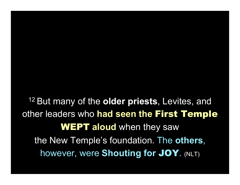<sup>12</sup> But many of the **older priests**, Levites, and other leaders who had seen the First Temple **WEPT aloud** when they saw the New Temple's foundation. The others, however, were Shouting for JOY. (NLT)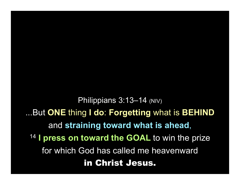Philippians 3:13-14 (NIV) ...But ONE thing I do: Forgetting what is BEHIND and straining toward what is ahead, <sup>14</sup> I press on toward the GOAL to win the prize for which God has called me heavenward in Christ Jesus.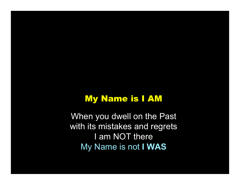## My Name is I AM

When you dwell on the Past with its mistakes and regrets I am NOT there My Name is not I WAS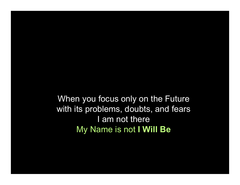When you focus only on the Future with its problems, doubts, and fears I am not there My Name is not I Will Be